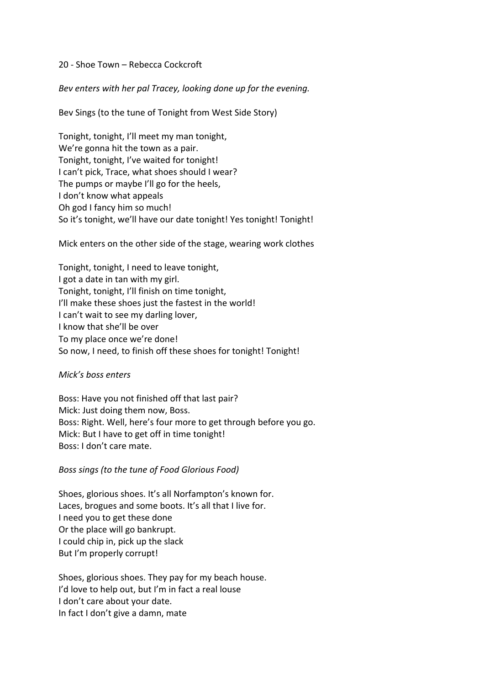#### 20 - Shoe Town – Rebecca Cockcroft

*Bev enters with her pal Tracey, looking done up for the evening.*

Bev Sings (to the tune of Tonight from West Side Story)

Tonight, tonight, I'll meet my man tonight, We're gonna hit the town as a pair. Tonight, tonight, I've waited for tonight! I can't pick, Trace, what shoes should I wear? The pumps or maybe I'll go for the heels, I don't know what appeals Oh god I fancy him so much! So it's tonight, we'll have our date tonight! Yes tonight! Tonight!

Mick enters on the other side of the stage, wearing work clothes

Tonight, tonight, I need to leave tonight, I got a date in tan with my girl. Tonight, tonight, I'll finish on time tonight, I'll make these shoes just the fastest in the world! I can't wait to see my darling lover, I know that she'll be over To my place once we're done! So now, I need, to finish off these shoes for tonight! Tonight!

#### *Mick's boss enters*

Boss: Have you not finished off that last pair? Mick: Just doing them now, Boss. Boss: Right. Well, here's four more to get through before you go. Mick: But I have to get off in time tonight! Boss: I don't care mate.

*Boss sings (to the tune of Food Glorious Food)*

Shoes, glorious shoes. It's all Norfampton's known for. Laces, brogues and some boots. It's all that I live for. I need you to get these done Or the place will go bankrupt. I could chip in, pick up the slack But I'm properly corrupt!

Shoes, glorious shoes. They pay for my beach house. I'd love to help out, but I'm in fact a real louse I don't care about your date. In fact I don't give a damn, mate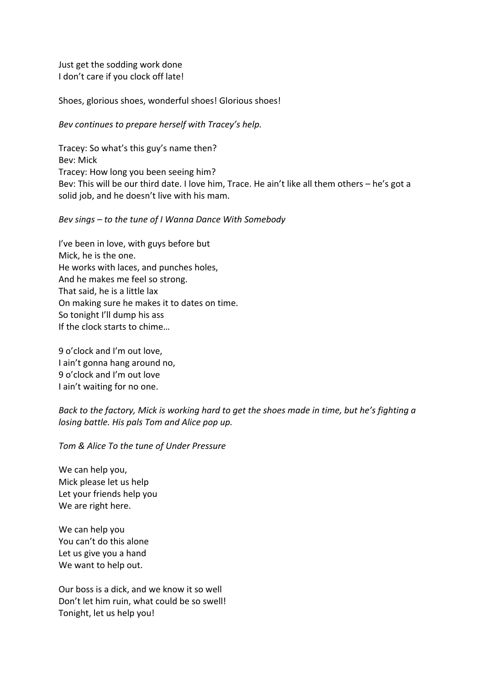Just get the sodding work done I don't care if you clock off late!

Shoes, glorious shoes, wonderful shoes! Glorious shoes!

### *Bev continues to prepare herself with Tracey's help.*

Tracey: So what's this guy's name then? Bev: Mick Tracey: How long you been seeing him? Bev: This will be our third date. I love him, Trace. He ain't like all them others – he's got a solid job, and he doesn't live with his mam.

#### *Bev sings – to the tune of I Wanna Dance With Somebody*

I've been in love, with guys before but Mick, he is the one. He works with laces, and punches holes, And he makes me feel so strong. That said, he is a little lax On making sure he makes it to dates on time. So tonight I'll dump his ass If the clock starts to chime…

9 o'clock and I'm out love, I ain't gonna hang around no, 9 o'clock and I'm out love I ain't waiting for no one.

# *Back to the factory, Mick is working hard to get the shoes made in time, but he's fighting a losing battle. His pals Tom and Alice pop up.*

## *Tom & Alice To the tune of Under Pressure*

We can help you, Mick please let us help Let your friends help you We are right here.

We can help you You can't do this alone Let us give you a hand We want to help out.

Our boss is a dick, and we know it so well Don't let him ruin, what could be so swell! Tonight, let us help you!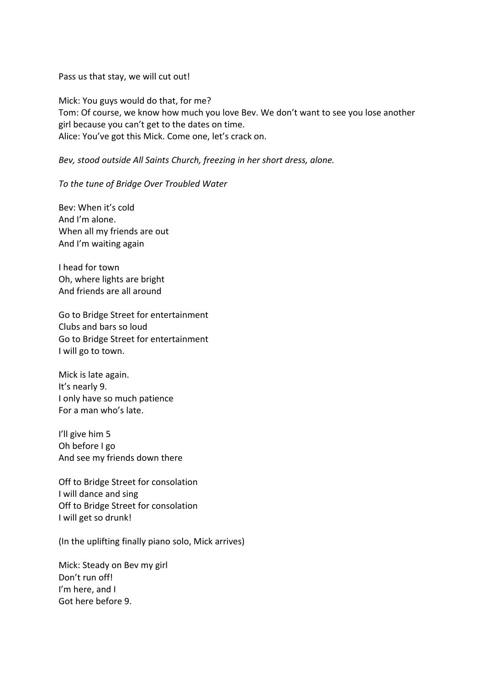Pass us that stay, we will cut out!

Mick: You guys would do that, for me? Tom: Of course, we know how much you love Bev. We don't want to see you lose another girl because you can't get to the dates on time. Alice: You've got this Mick. Come one, let's crack on.

*Bev, stood outside All Saints Church, freezing in her short dress, alone.*

*To the tune of Bridge Over Troubled Water*

Bev: When it's cold And I'm alone. When all my friends are out And I'm waiting again

I head for town Oh, where lights are bright And friends are all around

Go to Bridge Street for entertainment Clubs and bars so loud Go to Bridge Street for entertainment I will go to town.

Mick is late again. It's nearly 9. I only have so much patience For a man who's late.

I'll give him 5 Oh before I go And see my friends down there

Off to Bridge Street for consolation I will dance and sing Off to Bridge Street for consolation I will get so drunk!

(In the uplifting finally piano solo, Mick arrives)

Mick: Steady on Bev my girl Don't run off! I'm here, and I Got here before 9.